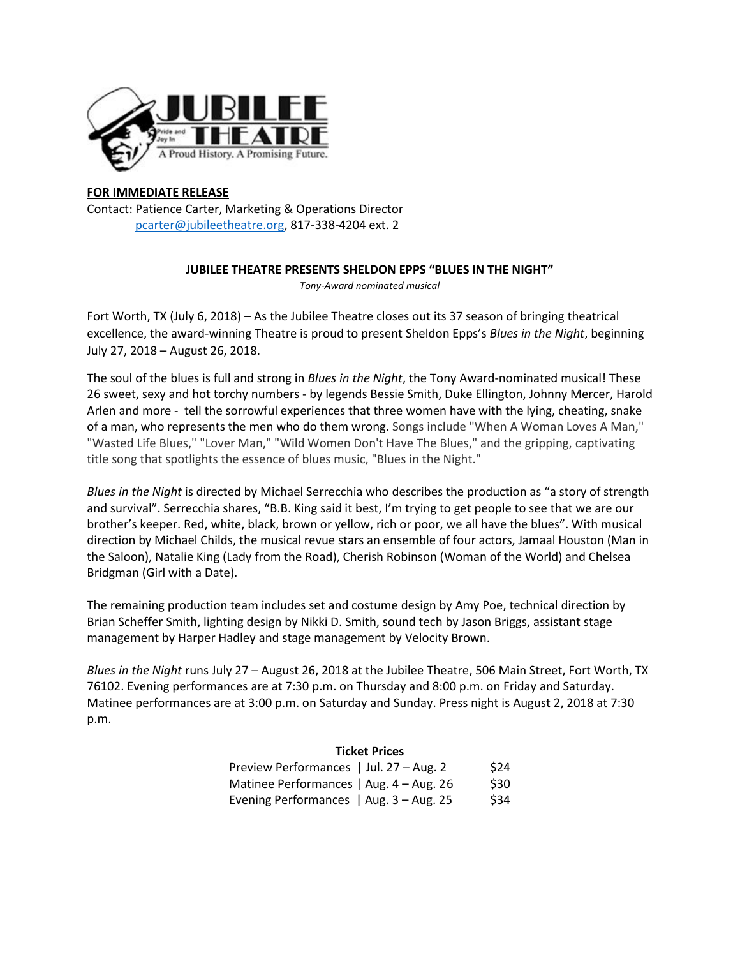

## **FOR IMMEDIATE RELEASE**

Contact: Patience Carter, Marketing & Operations Director [pcarter@jubileetheatre.org,](mailto:pcarter@jubileetheatre.org) 817-338-4204 ext. 2

## **JUBILEE THEATRE PRESENTS SHELDON EPPS "BLUES IN THE NIGHT"**

*Tony-Award nominated musical* 

Fort Worth, TX (July 6, 2018) – As the Jubilee Theatre closes out its 37 season of bringing theatrical excellence, the award-winning Theatre is proud to present Sheldon Epps's *Blues in the Night*, beginning July 27, 2018 – August 26, 2018.

The soul of the blues is full and strong in *Blues in the Night*, the Tony Award-nominated musical! These 26 sweet, sexy and hot torchy numbers - by legends Bessie Smith, Duke Ellington, Johnny Mercer, Harold Arlen and more - tell the sorrowful experiences that three women have with the lying, cheating, snake of a man, who represents the men who do them wrong. Songs include "When A Woman Loves A Man," "Wasted Life Blues," "Lover Man," "Wild Women Don't Have The Blues," and the gripping, captivating title song that spotlights the essence of blues music, "Blues in the Night."

*Blues in the Night* is directed by Michael Serrecchia who describes the production as "a story of strength and survival". Serrecchia shares, "B.B. King said it best, I'm trying to get people to see that we are our brother's keeper. Red, white, black, brown or yellow, rich or poor, we all have the blues". With musical direction by Michael Childs, the musical revue stars an ensemble of four actors, Jamaal Houston (Man in the Saloon), Natalie King (Lady from the Road), Cherish Robinson (Woman of the World) and Chelsea Bridgman (Girl with a Date).

The remaining production team includes set and costume design by Amy Poe, technical direction by Brian Scheffer Smith, lighting design by Nikki D. Smith, sound tech by Jason Briggs, assistant stage management by Harper Hadley and stage management by Velocity Brown.

*Blues in the Night* runs July 27 – August 26, 2018 at the Jubilee Theatre, 506 Main Street, Fort Worth, TX 76102. Evening performances are at 7:30 p.m. on Thursday and 8:00 p.m. on Friday and Saturday. Matinee performances are at 3:00 p.m. on Saturday and Sunday. Press night is August 2, 2018 at 7:30 p.m.

## **Ticket Prices**  Preview Performances | Jul.  $27 - Aug. 2$  \$24 Matinee Performances | Aug. 4 – Aug. 26 \$30 Evening Performances | Aug.  $3 -$ Aug.  $25$  \$34